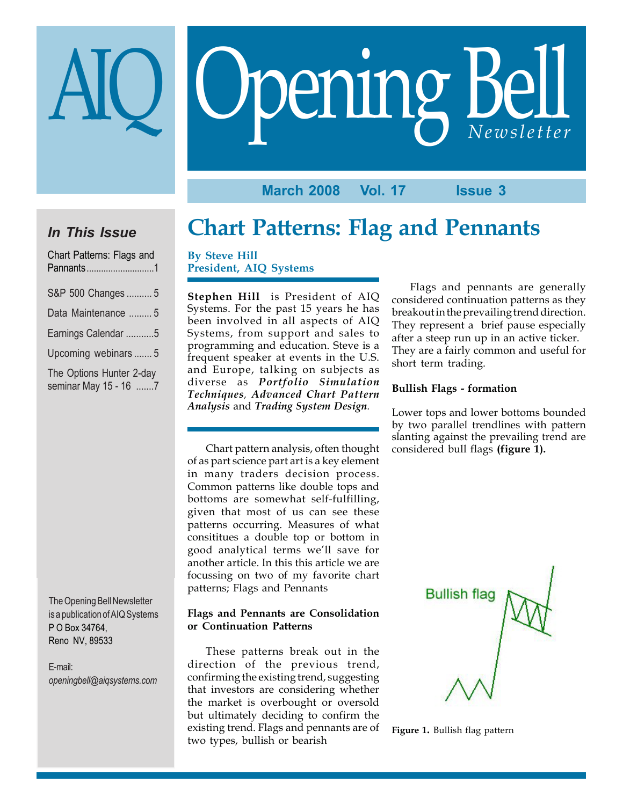# Opening Bell AIQ *Newsletter*

**March 2008 Vol. 17 Issue 3**

# *In This Issue*

| Chart Patterns: Flags and                         |
|---------------------------------------------------|
| S&P 500 Changes  5                                |
| Data Maintenance  5                               |
| Earnings Calendar 5                               |
| Upcoming webinars5                                |
| The Options Hunter 2-day<br>seminar May 15 - 16 7 |

The Opening Bell Newsletter is a publication of AIQ Systems P O Box 34764, Reno NV, 89533

E-mail: *openingbell@aiqsystems.com*

# **Chart Patterns: Flag and Pennants**

**By Steve Hill President, AIQ Systems**

**Stephen Hill** is President of AIQ Systems. For the past 15 years he has been involved in all aspects of AIQ Systems, from support and sales to programming and education. Steve is a frequent speaker at events in the U.S. and Europe, talking on subjects as diverse as *Portfolio Simulation Techniques, Advanced Chart Pattern Analysis* and *Trading System Design.*

Chart pattern analysis, often thought of as part science part art is a key element in many traders decision process. Common patterns like double tops and bottoms are somewhat self-fulfilling, given that most of us can see these patterns occurring. Measures of what consititues a double top or bottom in good analytical terms we'll save for another article. In this this article we are focussing on two of my favorite chart patterns; Flags and Pennants

#### **Flags and Pennants are Consolidation or Continuation Patterns**

These patterns break out in the direction of the previous trend, confirming the existing trend, suggesting that investors are considering whether the market is overbought or oversold but ultimately deciding to confirm the existing trend. Flags and pennants are of two types, bullish or bearish

Flags and pennants are generally considered continuation patterns as they breakout in the prevailing trend direction. They represent a brief pause especially after a steep run up in an active ticker. They are a fairly common and useful for short term trading.

#### **Bullish Flags - formation**

Lower tops and lower bottoms bounded by two parallel trendlines with pattern slanting against the prevailing trend are considered bull flags **(figure 1).**



#### **Figure 1.** Bullish flag pattern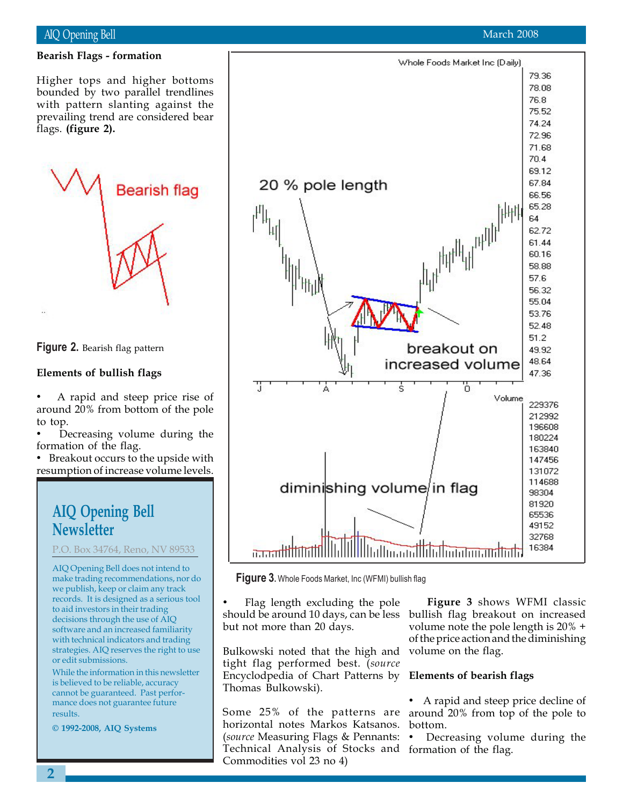#### AIQ Opening Bell

#### **Bearish Flags - formation**

bounded by two parallel trendlines<br>with pattern slanting against the Higher tops and higher bottoms bounded by two parallel trendlines prevailing trend are considered bear flags. **(figure 2).**

**Bearish flag** 

**Figure 2.** Bearish flag pattern

#### **Elements of bullish flags**

• A rapid and steep price rise of around 20% from bottom of the pole to top.

Decreasing volume during the formation of the flag.

• Breakout occurs to the upside with resumption of increase volume levels.

## **AIQ Opening Bell Newsletter**

P.O. Box 34764, Reno, NV 89533

AIQ Opening Bell does not intend to make trading recommendations, nor do we publish, keep or claim any track records. It is designed as a serious tool to aid investors in their trading decisions through the use of AIQ software and an increased familiarity with technical indicators and trading strategies. AIQ reserves the right to use or edit submissions.

While the information in this newsletter is believed to be reliable, accuracy cannot be guaranteed. Past performance does not guarantee future results.

**© 1992-2008, AIQ Systems**



**Figure 3.** Whole Foods Market, Inc (WFMI) bullish flag

• Flag length excluding the pole should be around 10 days, can be less but not more than 20 days.

Bulkowski noted that the high and tight flag performed best. (*source* Encyclodpedia of Chart Patterns by Thomas Bulkowski).

Some 25% of the patterns are around 20% from top of the pole to horizontal notes Markos Katsanos. (*source* Measuring Flags & Pennants: Technical Analysis of Stocks and formation of the flag. Commodities vol 23 no 4)

**Figure 3** shows WFMI classic bullish flag breakout on increased volume note the pole length is 20% + of the price action and the diminishing volume on the flag.

#### **Elements of bearish flags**

• A rapid and steep price decline of bottom.

• Decreasing volume during the

79.36

Whole Foods Market Inc (Daily)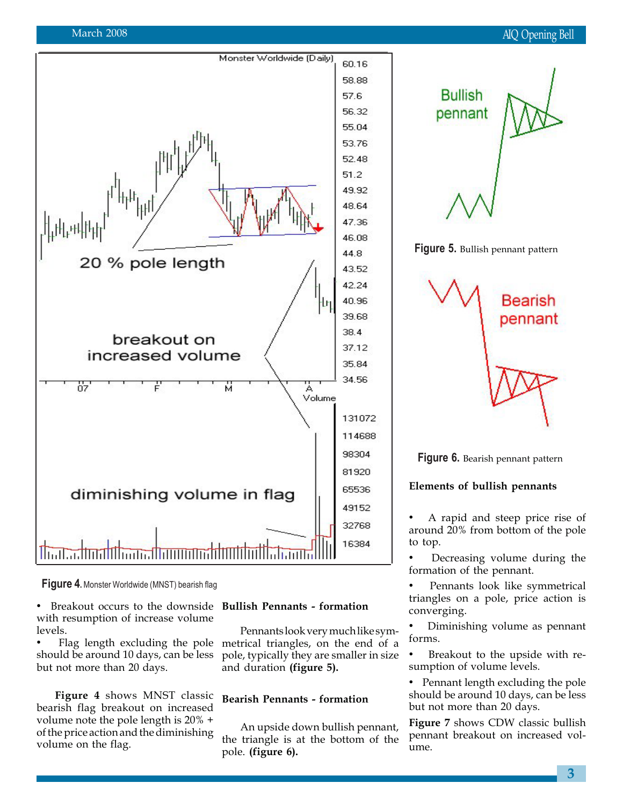#### March 2008



**Figure 4.** Monster Worldwide (MNST) bearish flag

• Breakout occurs to the downside with resumption of increase volume levels.

• Flag length excluding the pole should be around 10 days, can be less but not more than 20 days.

**Figure 4** shows MNST classic bearish flag breakout on increased volume note the pole length is 20% + of the price action and the diminishing volume on the flag.

## **Bullish Pennants - formation**

Pennants look very much like symmetrical triangles, on the end of a pole, typically they are smaller in size and duration **(figure 5).**

#### **Bearish Pennants - formation**

An upside down bullish pennant, the triangle is at the bottom of the pole. **(figure 6).**



**Figure 6.** Bearish pennant pattern

#### **Elements of bullish pennants**

• A rapid and steep price rise of around 20% from bottom of the pole to top.

• Decreasing volume during the formation of the pennant.

• Pennants look like symmetrical triangles on a pole, price action is converging.

• Diminishing volume as pennant forms.

Breakout to the upside with resumption of volume levels.

• Pennant length excluding the pole should be around 10 days, can be less but not more than 20 days.

**Figure 7** shows CDW classic bullish pennant breakout on increased volume.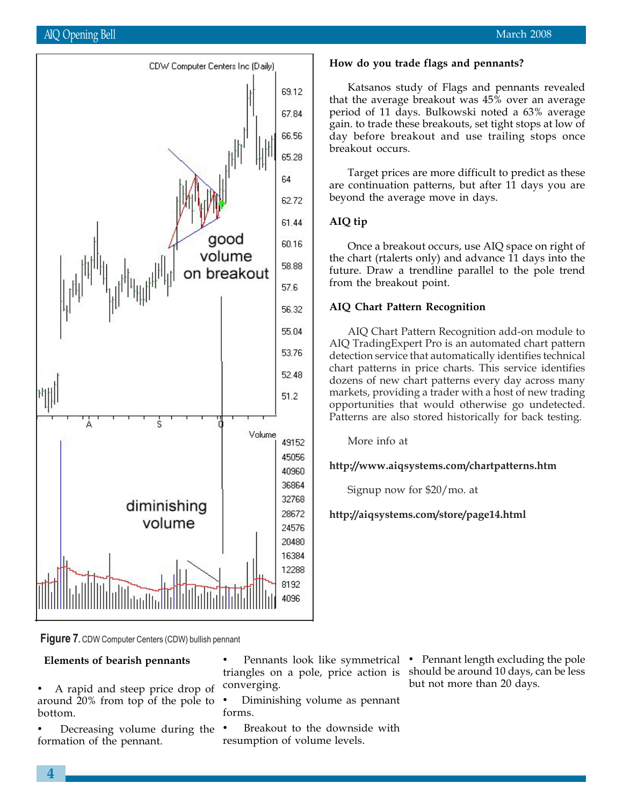

**How do you trade flags and pennants?**

Katsanos study of Flags and pennants revealed that the average breakout was  $45\%$  over an average period of 11 days. Bulkowski noted a 63% average gain. to trade these breakouts, set tight stops at low of day before breakout and use trailing stops once breakout occurs.

Target prices are more difficult to predict as these are continuation patterns, but after 11 days you are beyond the average move in days.

#### **AIQ tip**

Once a breakout occurs, use AIQ space on right of the chart (rtalerts only) and advance 11 days into the future. Draw a trendline parallel to the pole trend from the breakout point.

#### **AIQ Chart Pattern Recognition**

AIQ Chart Pattern Recognition add-on module to AIQ TradingExpert Pro is an automated chart pattern detection service that automatically identifies technical chart patterns in price charts. This service identifies dozens of new chart patterns every day across many markets, providing a trader with a host of new trading opportunities that would otherwise go undetected. Patterns are also stored historically for back testing.

More info at

**http://www.aiqsystems.com/chartpatterns.htm**

Signup now for \$20/mo. at

**http://aiqsystems.com/store/page14.html**

**Figure 7.** CDW Computer Centers (CDW) bullish pennant

#### **Elements of bearish pennants**

- A rapid and steep price drop of around 20% from top of the pole to bottom.
- Decreasing volume during the formation of the pennant.

triangles on a pole, price action is should be around 10 days, can be less converging.

• Diminishing volume as pennant forms.

Breakout to the downside with resumption of volume levels.

• Pennants look like symmetrical • Pennant length excluding the pole but not more than 20 days.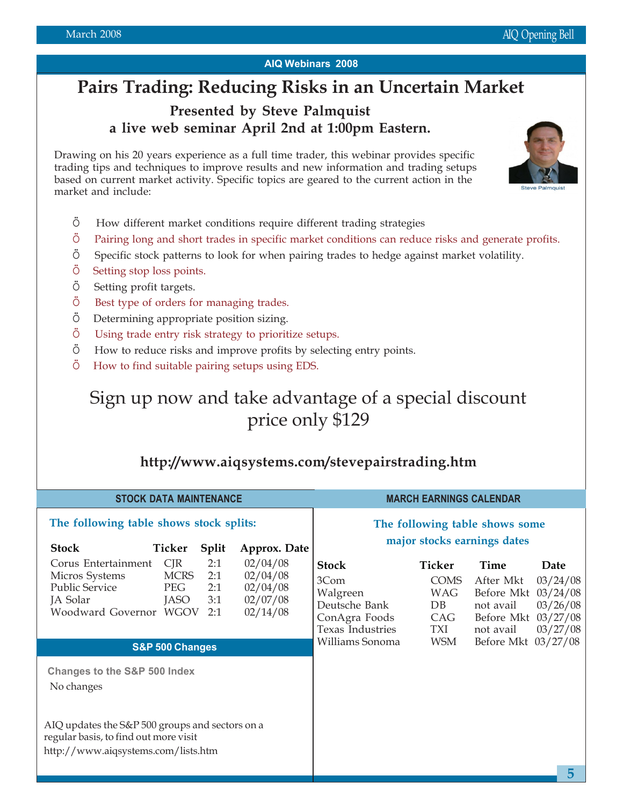#### **AIQ Webinars 2008**

# **Pairs Trading: Reducing Risks in an Uncertain Market**

## **Presented by Steve Palmquist a live web seminar April 2nd at 1:00pm Eastern.**

Drawing on his 20 years experience as a full time trader, this webinar provides specific trading tips and techniques to improve results and new information and trading setups based on current market activity. Specific topics are geared to the current action in the market and include:



- Ö Pairing long and short trades in specific market conditions can reduce risks and generate profits.
- Ö Specific stock patterns to look for when pairing trades to hedge against market volatility.
- Ö Setting stop loss points.
- Ö Setting profit targets.
- Ö Best type of orders for managing trades.
- Ö Determining appropriate position sizing.
- Ö Using trade entry risk strategy to prioritize setups.
- Ö How to reduce risks and improve profits by selecting entry points.
- Ö How to find suitable pairing setups using EDS.

# Sign up now and take advantage of a special discount price only \$129

### **http://www.aiqsystems.com/stevepairstrading.htm**

| <b>STOCK DATA MAINTENANCE</b>                                                                                                                                                                                                                                             | <b>MARCH EARNINGS CALENDAR</b>                                                                                                                                                                                                                                                                                                                     |
|---------------------------------------------------------------------------------------------------------------------------------------------------------------------------------------------------------------------------------------------------------------------------|----------------------------------------------------------------------------------------------------------------------------------------------------------------------------------------------------------------------------------------------------------------------------------------------------------------------------------------------------|
| The following table shows stock splits:<br><b>Stock</b><br>Ticker<br><b>Split</b><br>Approx. Date                                                                                                                                                                         | The following table shows some<br>major stocks earnings dates                                                                                                                                                                                                                                                                                      |
| CIR<br>02/04/08<br>Corus Entertainment<br>2:1<br><b>MCRS</b><br>Micros Systems<br>2:1<br>02/04/08<br><b>Public Service</b><br>02/04/08<br><b>PEG</b><br>2:1<br>JA Solar<br><b>JASO</b><br>3:1<br>02/07/08<br>Woodward Governor WGOV<br>02/14/08<br>2:1<br>S&P 500 Changes | Ticker<br><b>Stock</b><br>Time<br>Date<br>3Com<br><b>COMS</b><br>03/24/08<br>After Mkt<br>Before Mkt 03/24/08<br>Walgreen<br><b>WAG</b><br>03/26/08<br>Deutsche Bank<br>not avail<br>DB<br>Before Mkt 03/27/08<br>ConAgra Foods<br>CAG<br>Texas Industries<br>03/27/08<br>TXI<br>not avail<br>Before Mkt 03/27/08<br>Williams Sonoma<br><b>WSM</b> |
| <b>Changes to the S&amp;P 500 Index</b><br>No changes<br>AIQ updates the S&P 500 groups and sectors on a<br>regular basis, to find out more visit                                                                                                                         |                                                                                                                                                                                                                                                                                                                                                    |
| http://www.aiqsystems.com/lists.htm                                                                                                                                                                                                                                       | 5                                                                                                                                                                                                                                                                                                                                                  |